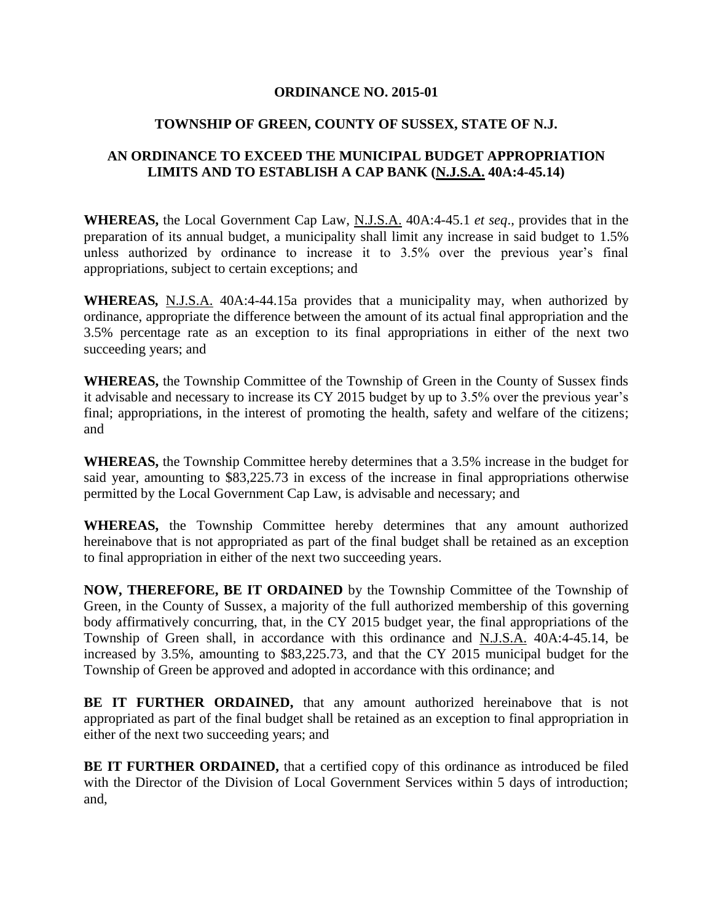## **ORDINANCE NO. 2015-01**

# **TOWNSHIP OF GREEN, COUNTY OF SUSSEX, STATE OF N.J.**

# **AN ORDINANCE TO EXCEED THE MUNICIPAL BUDGET APPROPRIATION LIMITS AND TO ESTABLISH A CAP BANK (N.J.S.A. 40A:4-45.14)**

**WHEREAS,** the Local Government Cap Law, N.J.S.A. 40A:4-45.1 *et seq*., provides that in the preparation of its annual budget, a municipality shall limit any increase in said budget to 1.5% unless authorized by ordinance to increase it to 3.5% over the previous year's final appropriations, subject to certain exceptions; and

**WHEREAS***,* N.J.S.A. 40A:4-44.15a provides that a municipality may, when authorized by ordinance, appropriate the difference between the amount of its actual final appropriation and the 3.5% percentage rate as an exception to its final appropriations in either of the next two succeeding years; and

**WHEREAS,** the Township Committee of the Township of Green in the County of Sussex finds it advisable and necessary to increase its CY 2015 budget by up to 3.5% over the previous year's final; appropriations, in the interest of promoting the health, safety and welfare of the citizens; and

**WHEREAS,** the Township Committee hereby determines that a 3.5% increase in the budget for said year, amounting to \$83,225.73 in excess of the increase in final appropriations otherwise permitted by the Local Government Cap Law, is advisable and necessary; and

**WHEREAS,** the Township Committee hereby determines that any amount authorized hereinabove that is not appropriated as part of the final budget shall be retained as an exception to final appropriation in either of the next two succeeding years.

**NOW, THEREFORE, BE IT ORDAINED** by the Township Committee of the Township of Green, in the County of Sussex, a majority of the full authorized membership of this governing body affirmatively concurring, that, in the CY 2015 budget year, the final appropriations of the Township of Green shall, in accordance with this ordinance and N.J.S.A. 40A:4-45.14, be increased by 3.5%, amounting to \$83,225.73, and that the CY 2015 municipal budget for the Township of Green be approved and adopted in accordance with this ordinance; and

**BE IT FURTHER ORDAINED,** that any amount authorized hereinabove that is not appropriated as part of the final budget shall be retained as an exception to final appropriation in either of the next two succeeding years; and

**BE IT FURTHER ORDAINED,** that a certified copy of this ordinance as introduced be filed with the Director of the Division of Local Government Services within 5 days of introduction; and,